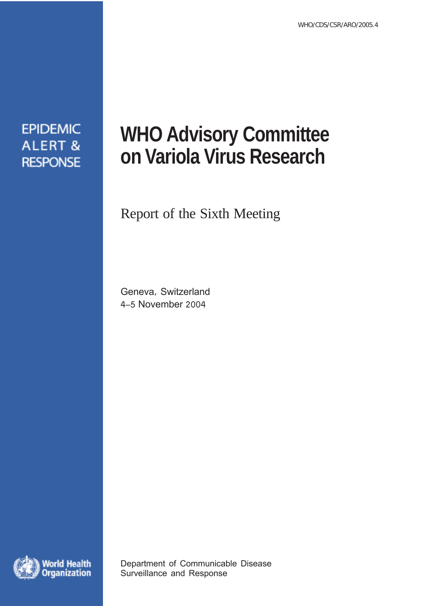**EPIDEMIC ALERT & RESPONSE** 

# **WHO Advisory Committee on Variola Virus Research**

## Report of the Sixth Meeting

Geneva, Switzerland 4–5 November 2004



Department of Communicable Disease Surveillance and Response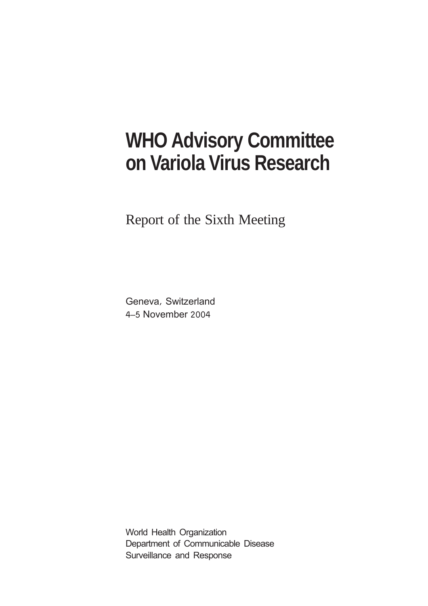## **WHO Advisory Committee on Variola Virus Research**

Report of the Sixth Meeting

Geneva, Switzerland 4–5 November 2004

World Health Organization Department of Communicable Disease Surveillance and Response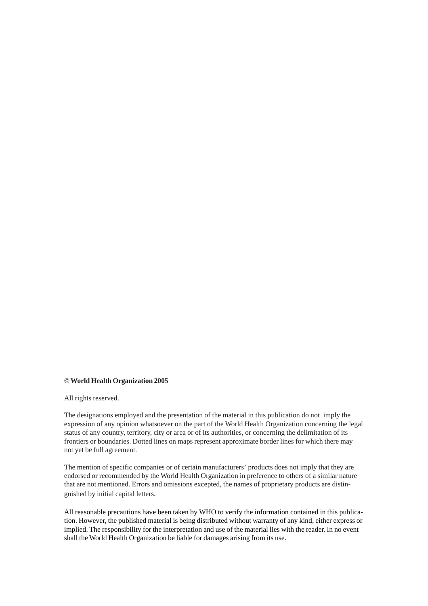#### **© World Health Organization 2005**

All rights reserved.

The designations employed and the presentation of the material in this publication do not imply the expression of any opinion whatsoever on the part of the World Health Organization concerning the legal status of any country, territory, city or area or of its authorities, or concerning the delimitation of its frontiers or boundaries. Dotted lines on maps represent approximate border lines for which there may not yet be full agreement.

The mention of specific companies or of certain manufacturers' products does not imply that they are endorsed or recommended by the World Health Organization in preference to others of a similar nature that are not mentioned. Errors and omissions excepted, the names of proprietary products are distinguished by initial capital letters.

All reasonable precautions have been taken by WHO to verify the information contained in this publication. However, the published material is being distributed without warranty of any kind, either express or implied. The responsibility for the interpretation and use of the material lies with the reader. In no event shall the World Health Organization be liable for damages arising from its use.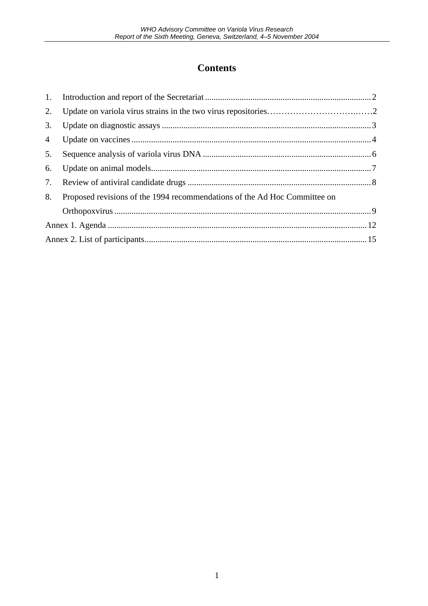### **Contents**

| 2.             |                                                                           |  |
|----------------|---------------------------------------------------------------------------|--|
| 3.             |                                                                           |  |
| $\overline{4}$ |                                                                           |  |
| 5.             |                                                                           |  |
| 6.             |                                                                           |  |
| 7.             |                                                                           |  |
| 8.             | Proposed revisions of the 1994 recommendations of the Ad Hoc Committee on |  |
|                |                                                                           |  |
|                |                                                                           |  |
|                |                                                                           |  |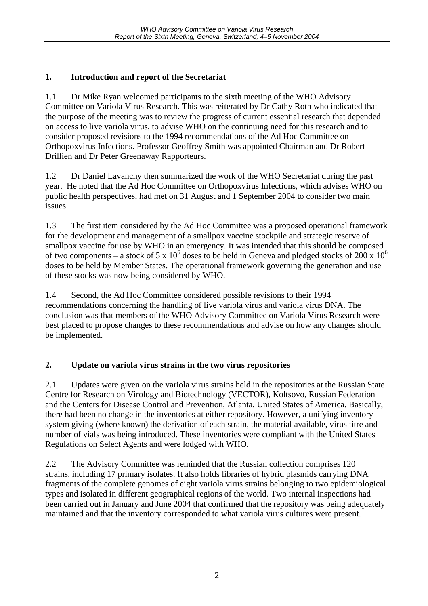#### **1. Introduction and report of the Secretariat**

1.1 Dr Mike Ryan welcomed participants to the sixth meeting of the WHO Advisory Committee on Variola Virus Research. This was reiterated by Dr Cathy Roth who indicated that the purpose of the meeting was to review the progress of current essential research that depended on access to live variola virus, to advise WHO on the continuing need for this research and to consider proposed revisions to the 1994 recommendations of the Ad Hoc Committee on Orthopoxvirus Infections. Professor Geoffrey Smith was appointed Chairman and Dr Robert Drillien and Dr Peter Greenaway Rapporteurs.

1.2 Dr Daniel Lavanchy then summarized the work of the WHO Secretariat during the past year. He noted that the Ad Hoc Committee on Orthopoxvirus Infections, which advises WHO on public health perspectives, had met on 31 August and 1 September 2004 to consider two main issues.

1.3 The first item considered by the Ad Hoc Committee was a proposed operational framework for the development and management of a smallpox vaccine stockpile and strategic reserve of smallpox vaccine for use by WHO in an emergency. It was intended that this should be composed of two components – a stock of 5 x  $10^6$  doses to be held in Geneva and pledged stocks of 200 x  $10^6$ doses to be held by Member States. The operational framework governing the generation and use of these stocks was now being considered by WHO.

1.4 Second, the Ad Hoc Committee considered possible revisions to their 1994 recommendations concerning the handling of live variola virus and variola virus DNA. The conclusion was that members of the WHO Advisory Committee on Variola Virus Research were best placed to propose changes to these recommendations and advise on how any changes should be implemented.

#### **2. Update on variola virus strains in the two virus repositories**

2.1 Updates were given on the variola virus strains held in the repositories at the Russian State Centre for Research on Virology and Biotechnology (VECTOR), Koltsovo, Russian Federation and the Centers for Disease Control and Prevention, Atlanta, United States of America. Basically, there had been no change in the inventories at either repository. However, a unifying inventory system giving (where known) the derivation of each strain, the material available, virus titre and number of vials was being introduced. These inventories were compliant with the United States Regulations on Select Agents and were lodged with WHO.

2.2 The Advisory Committee was reminded that the Russian collection comprises 120 strains, including 17 primary isolates. It also holds libraries of hybrid plasmids carrying DNA fragments of the complete genomes of eight variola virus strains belonging to two epidemiological types and isolated in different geographical regions of the world. Two internal inspections had been carried out in January and June 2004 that confirmed that the repository was being adequately maintained and that the inventory corresponded to what variola virus cultures were present.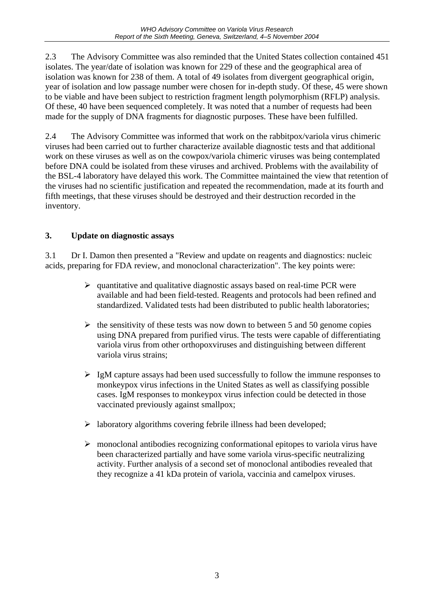2.3 The Advisory Committee was also reminded that the United States collection contained 451 isolates. The year/date of isolation was known for 229 of these and the geographical area of isolation was known for 238 of them. A total of 49 isolates from divergent geographical origin, year of isolation and low passage number were chosen for in-depth study. Of these, 45 were shown to be viable and have been subject to restriction fragment length polymorphism (RFLP) analysis. Of these, 40 have been sequenced completely. It was noted that a number of requests had been made for the supply of DNA fragments for diagnostic purposes. These have been fulfilled.

2.4 The Advisory Committee was informed that work on the rabbitpox/variola virus chimeric viruses had been carried out to further characterize available diagnostic tests and that additional work on these viruses as well as on the cowpox/variola chimeric viruses was being contemplated before DNA could be isolated from these viruses and archived. Problems with the availability of the BSL-4 laboratory have delayed this work. The Committee maintained the view that retention of the viruses had no scientific justification and repeated the recommendation, made at its fourth and fifth meetings, that these viruses should be destroyed and their destruction recorded in the inventory.

#### **3. Update on diagnostic assays**

3.1 Dr I. Damon then presented a "Review and update on reagents and diagnostics: nucleic acids, preparing for FDA review, and monoclonal characterization". The key points were:

- $\triangleright$  quantitative and qualitative diagnostic assays based on real-time PCR were available and had been field-tested. Reagents and protocols had been refined and standardized. Validated tests had been distributed to public health laboratories;
- $\triangleright$  the sensitivity of these tests was now down to between 5 and 50 genome copies using DNA prepared from purified virus. The tests were capable of differentiating variola virus from other orthopoxviruses and distinguishing between different variola virus strains;
- $\triangleright$  IgM capture assays had been used successfully to follow the immune responses to monkeypox virus infections in the United States as well as classifying possible cases. IgM responses to monkeypox virus infection could be detected in those vaccinated previously against smallpox;
- $\triangleright$  laboratory algorithms covering febrile illness had been developed;
- $\triangleright$  monoclonal antibodies recognizing conformational epitopes to variola virus have been characterized partially and have some variola virus-specific neutralizing activity. Further analysis of a second set of monoclonal antibodies revealed that they recognize a 41 kDa protein of variola, vaccinia and camelpox viruses.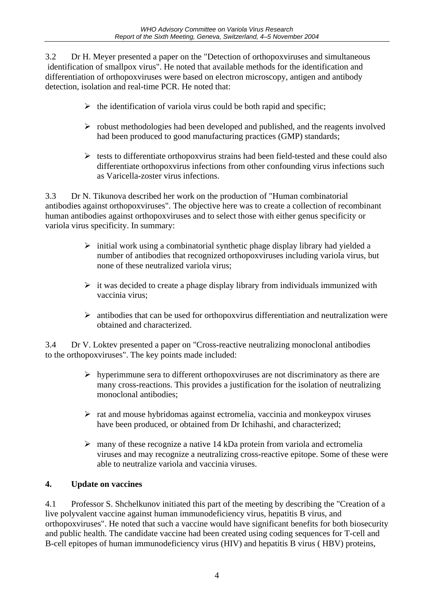3.2 Dr H. Meyer presented a paper on the "Detection of orthopoxviruses and simultaneous identification of smallpox virus". He noted that available methods for the identification and differentiation of orthopoxviruses were based on electron microscopy, antigen and antibody detection, isolation and real-time PCR. He noted that:

- $\triangleright$  the identification of variola virus could be both rapid and specific;
- $\triangleright$  robust methodologies had been developed and published, and the reagents involved had been produced to good manufacturing practices (GMP) standards;
- $\triangleright$  tests to differentiate orthopoxvirus strains had been field-tested and these could also differentiate orthopoxvirus infections from other confounding virus infections such as Varicella-zoster virus infections.

3.3 Dr N. Tikunova described her work on the production of "Human combinatorial antibodies against orthopoxviruses". The objective here was to create a collection of recombinant human antibodies against orthopoxviruses and to select those with either genus specificity or variola virus specificity. In summary:

- $\triangleright$  initial work using a combinatorial synthetic phage display library had yielded a number of antibodies that recognized orthopoxviruses including variola virus, but none of these neutralized variola virus;
- $\triangleright$  it was decided to create a phage display library from individuals immunized with vaccinia virus;
- $\triangleright$  antibodies that can be used for orthopoxvirus differentiation and neutralization were obtained and characterized.

3.4 Dr V. Loktev presented a paper on "Cross-reactive neutralizing monoclonal antibodies to the orthopoxviruses". The key points made included:

- $\triangleright$  hyperimmune sera to different orthopoxviruses are not discriminatory as there are many cross-reactions. This provides a justification for the isolation of neutralizing monoclonal antibodies;
- $\triangleright$  rat and mouse hybridomas against ectromelia, vaccinia and monkeypox viruses have been produced, or obtained from Dr Ichihashi, and characterized;
- $\triangleright$  many of these recognize a native 14 kDa protein from variola and ectromelia viruses and may recognize a neutralizing cross-reactive epitope. Some of these were able to neutralize variola and vaccinia viruses.

#### **4. Update on vaccines**

4.1 Professor S. Shchelkunov initiated this part of the meeting by describing the "Creation of a live polyvalent vaccine against human immunodeficiency virus, hepatitis B virus, and orthopoxviruses". He noted that such a vaccine would have significant benefits for both biosecurity and public health. The candidate vaccine had been created using coding sequences for T-cell and B-cell epitopes of human immunodeficiency virus (HIV) and hepatitis B virus ( HBV) proteins,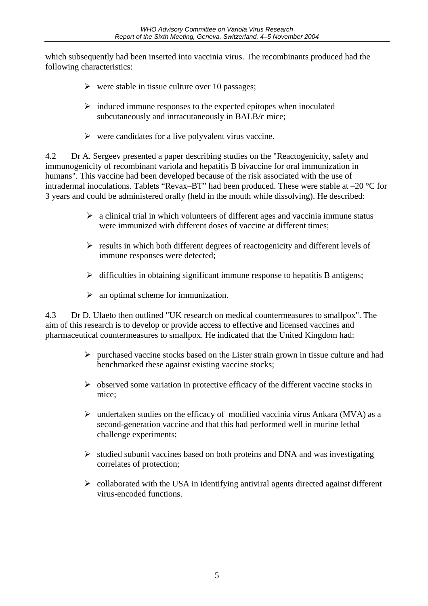which subsequently had been inserted into vaccinia virus. The recombinants produced had the following characteristics:

- $\triangleright$  were stable in tissue culture over 10 passages;
- $\triangleright$  induced immune responses to the expected epitopes when inoculated subcutaneously and intracutaneously in BALB/c mice;
- $\triangleright$  were candidates for a live polyvalent virus vaccine.

4.2 Dr A. Sergeev presented a paper describing studies on the "Reactogenicity, safety and immunogenicity of recombinant variola and hepatitis B bivaccine for oral immunization in humans". This vaccine had been developed because of the risk associated with the use of intradermal inoculations. Tablets "Revax–BT" had been produced. These were stable at –20 °C for 3 years and could be administered orally (held in the mouth while dissolving). He described:

- $\triangleright$  a clinical trial in which volunteers of different ages and vaccinia immune status were immunized with different doses of vaccine at different times;
- $\triangleright$  results in which both different degrees of reactogenicity and different levels of immune responses were detected;
- $\triangleright$  difficulties in obtaining significant immune response to hepatitis B antigens;
- $\triangleright$  an optimal scheme for immunization.

4.3 Dr D. Ulaeto then outlined "UK research on medical countermeasures to smallpox". The aim of this research is to develop or provide access to effective and licensed vaccines and pharmaceutical countermeasures to smallpox. He indicated that the United Kingdom had:

- $\triangleright$  purchased vaccine stocks based on the Lister strain grown in tissue culture and had benchmarked these against existing vaccine stocks;
- $\triangleright$  observed some variation in protective efficacy of the different vaccine stocks in mice;
- $\triangleright$  undertaken studies on the efficacy of modified vaccinia virus Ankara (MVA) as a second-generation vaccine and that this had performed well in murine lethal challenge experiments;
- $\triangleright$  studied subunit vaccines based on both proteins and DNA and was investigating correlates of protection;
- $\triangleright$  collaborated with the USA in identifying antiviral agents directed against different virus-encoded functions.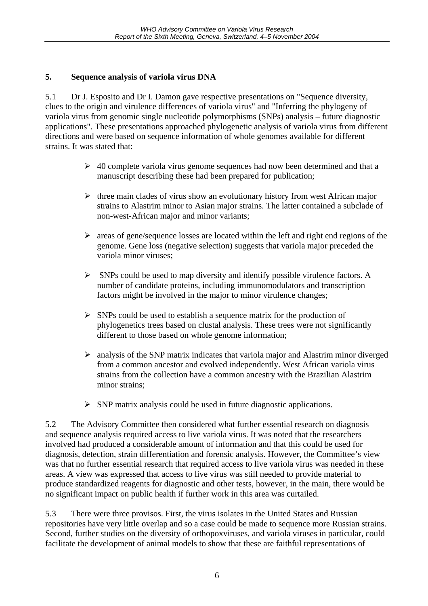#### **5. Sequence analysis of variola virus DNA**

5.1 Dr J. Esposito and Dr I. Damon gave respective presentations on "Sequence diversity, clues to the origin and virulence differences of variola virus" and "Inferring the phylogeny of variola virus from genomic single nucleotide polymorphisms (SNPs) analysis – future diagnostic applications". These presentations approached phylogenetic analysis of variola virus from different directions and were based on sequence information of whole genomes available for different strains. It was stated that:

- $\geq 40$  complete variola virus genome sequences had now been determined and that a manuscript describing these had been prepared for publication;
- $\triangleright$  three main clades of virus show an evolutionary history from west African major strains to Alastrim minor to Asian major strains. The latter contained a subclade of non-west-African major and minor variants;
- $\triangleright$  areas of gene/sequence losses are located within the left and right end regions of the genome. Gene loss (negative selection) suggests that variola major preceded the variola minor viruses;
- $\triangleright$  SNPs could be used to map diversity and identify possible virulence factors. A number of candidate proteins, including immunomodulators and transcription factors might be involved in the major to minor virulence changes;
- $\triangleright$  SNPs could be used to establish a sequence matrix for the production of phylogenetics trees based on clustal analysis. These trees were not significantly different to those based on whole genome information;
- $\triangleright$  analysis of the SNP matrix indicates that variola major and Alastrim minor diverged from a common ancestor and evolved independently. West African variola virus strains from the collection have a common ancestry with the Brazilian Alastrim minor strains;
- $\triangleright$  SNP matrix analysis could be used in future diagnostic applications.

5.2 The Advisory Committee then considered what further essential research on diagnosis and sequence analysis required access to live variola virus. It was noted that the researchers involved had produced a considerable amount of information and that this could be used for diagnosis, detection, strain differentiation and forensic analysis. However, the Committee's view was that no further essential research that required access to live variola virus was needed in these areas. A view was expressed that access to live virus was still needed to provide material to produce standardized reagents for diagnostic and other tests, however, in the main, there would be no significant impact on public health if further work in this area was curtailed.

5.3 There were three provisos. First, the virus isolates in the United States and Russian repositories have very little overlap and so a case could be made to sequence more Russian strains. Second, further studies on the diversity of orthopoxviruses, and variola viruses in particular, could facilitate the development of animal models to show that these are faithful representations of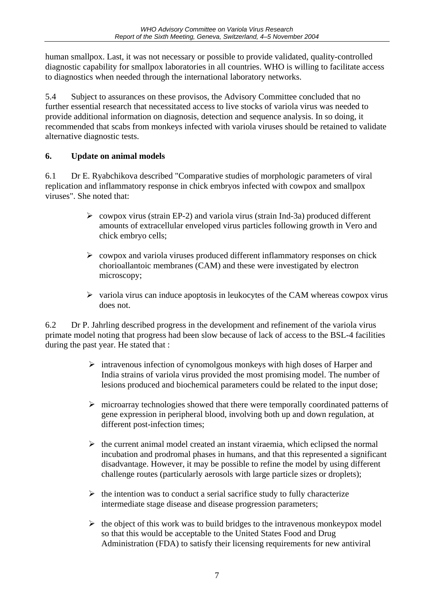human smallpox. Last, it was not necessary or possible to provide validated, quality-controlled diagnostic capability for smallpox laboratories in all countries. WHO is willing to facilitate access to diagnostics when needed through the international laboratory networks.

5.4 Subject to assurances on these provisos, the Advisory Committee concluded that no further essential research that necessitated access to live stocks of variola virus was needed to provide additional information on diagnosis, detection and sequence analysis. In so doing, it recommended that scabs from monkeys infected with variola viruses should be retained to validate alternative diagnostic tests.

#### **6. Update on animal models**

6.1 Dr E. Ryabchikova described "Comparative studies of morphologic parameters of viral replication and inflammatory response in chick embryos infected with cowpox and smallpox viruses". She noted that:

- $\geq$  cowpox virus (strain EP-2) and variola virus (strain Ind-3a) produced different amounts of extracellular enveloped virus particles following growth in Vero and chick embryo cells;
- $\triangleright$  cowpox and variola viruses produced different inflammatory responses on chick chorioallantoic membranes (CAM) and these were investigated by electron microscopy;
- $\triangleright$  variola virus can induce apoptosis in leukocytes of the CAM whereas cowpox virus does not.

6.2 Dr P. Jahrling described progress in the development and refinement of the variola virus primate model noting that progress had been slow because of lack of access to the BSL-4 facilities during the past year. He stated that :

- $\triangleright$  intravenous infection of cynomolgous monkeys with high doses of Harper and India strains of variola virus provided the most promising model. The number of lesions produced and biochemical parameters could be related to the input dose;
- $\triangleright$  microarray technologies showed that there were temporally coordinated patterns of gene expression in peripheral blood, involving both up and down regulation, at different post-infection times;
- $\triangleright$  the current animal model created an instant viraemia, which eclipsed the normal incubation and prodromal phases in humans, and that this represented a significant disadvantage. However, it may be possible to refine the model by using different challenge routes (particularly aerosols with large particle sizes or droplets);
- $\triangleright$  the intention was to conduct a serial sacrifice study to fully characterize intermediate stage disease and disease progression parameters;
- $\triangleright$  the object of this work was to build bridges to the intravenous monkeypox model so that this would be acceptable to the United States Food and Drug Administration (FDA) to satisfy their licensing requirements for new antiviral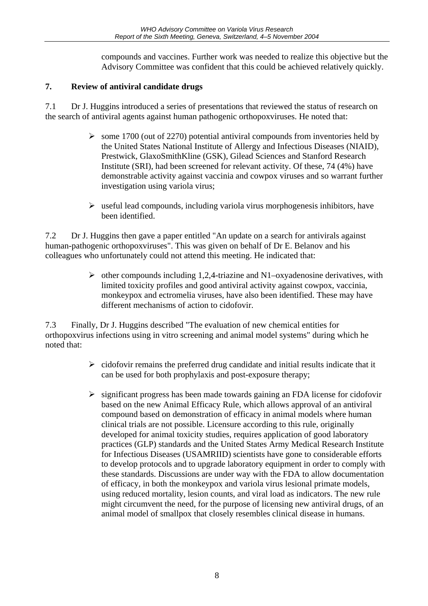compounds and vaccines. Further work was needed to realize this objective but the Advisory Committee was confident that this could be achieved relatively quickly.

#### **7. Review of antiviral candidate drugs**

7.1 Dr J. Huggins introduced a series of presentations that reviewed the status of research on the search of antiviral agents against human pathogenic orthopoxviruses. He noted that:

- $\geq$  some 1700 (out of 2270) potential antiviral compounds from inventories held by the United States National Institute of Allergy and Infectious Diseases (NIAID), Prestwick, GlaxoSmithKline (GSK), Gilead Sciences and Stanford Research Institute (SRI), had been screened for relevant activity. Of these, 74 (4%) have demonstrable activity against vaccinia and cowpox viruses and so warrant further investigation using variola virus;
- $\triangleright$  useful lead compounds, including variola virus morphogenesis inhibitors, have been identified.

7.2 Dr J. Huggins then gave a paper entitled "An update on a search for antivirals against human-pathogenic orthopoxviruses". This was given on behalf of Dr E. Belanov and his colleagues who unfortunately could not attend this meeting. He indicated that:

> $\triangleright$  other compounds including 1,2,4-triazine and N1–oxyadenosine derivatives, with limited toxicity profiles and good antiviral activity against cowpox, vaccinia, monkeypox and ectromelia viruses, have also been identified. These may have different mechanisms of action to cidofovir.

7.3 Finally, Dr J. Huggins described "The evaluation of new chemical entities for orthopoxvirus infections using in vitro screening and animal model systems" during which he noted that:

- $\triangleright$  cidofovir remains the preferred drug candidate and initial results indicate that it can be used for both prophylaxis and post-exposure therapy;
- $\triangleright$  significant progress has been made towards gaining an FDA license for cidofovir based on the new Animal Efficacy Rule, which allows approval of an antiviral compound based on demonstration of efficacy in animal models where human clinical trials are not possible. Licensure according to this rule, originally developed for animal toxicity studies, requires application of good laboratory practices (GLP) standards and the United States Army Medical Research Institute for Infectious Diseases (USAMRIID) scientists have gone to considerable efforts to develop protocols and to upgrade laboratory equipment in order to comply with these standards. Discussions are under way with the FDA to allow documentation of efficacy, in both the monkeypox and variola virus lesional primate models, using reduced mortality, lesion counts, and viral load as indicators. The new rule might circumvent the need, for the purpose of licensing new antiviral drugs, of an animal model of smallpox that closely resembles clinical disease in humans.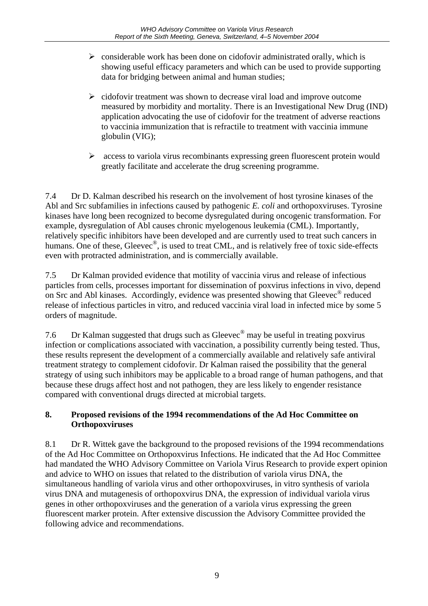- $\triangleright$  considerable work has been done on cidofovir administrated orally, which is showing useful efficacy parameters and which can be used to provide supporting data for bridging between animal and human studies;
- $\triangleright$  cidofovir treatment was shown to decrease viral load and improve outcome measured by morbidity and mortality. There is an Investigational New Drug (IND) application advocating the use of cidofovir for the treatment of adverse reactions to vaccinia immunization that is refractile to treatment with vaccinia immune globulin (VIG);
- $\triangleright$  access to variola virus recombinants expressing green fluorescent protein would greatly facilitate and accelerate the drug screening programme.

7.4 Dr D. Kalman described his research on the involvement of host tyrosine kinases of the Abl and Src subfamilies in infections caused by pathogenic *E. coli* and orthopoxviruses. Tyrosine kinases have long been recognized to become dysregulated during oncogenic transformation. For example, dysregulation of Abl causes chronic myelogenous leukemia (CML). Importantly, relatively specific inhibitors have been developed and are currently used to treat such cancers in humans. One of these, Gleevec<sup>®</sup>, is used to treat CML, and is relatively free of toxic side-effects even with protracted administration, and is commercially available.

7.5 Dr Kalman provided evidence that motility of vaccinia virus and release of infectious particles from cells, processes important for dissemination of poxvirus infections in vivo, depend on Src and Abl kinases. Accordingly, evidence was presented showing that Gleevec® reduced release of infectious particles in vitro, and reduced vaccinia viral load in infected mice by some 5 orders of magnitude.

7.6 Dr Kalman suggested that drugs such as Gleevec® may be useful in treating poxvirus infection or complications associated with vaccination, a possibility currently being tested. Thus, these results represent the development of a commercially available and relatively safe antiviral treatment strategy to complement cidofovir. Dr Kalman raised the possibility that the general strategy of using such inhibitors may be applicable to a broad range of human pathogens, and that because these drugs affect host and not pathogen, they are less likely to engender resistance compared with conventional drugs directed at microbial targets.

#### **8. Proposed revisions of the 1994 recommendations of the Ad Hoc Committee on Orthopoxviruses**

8.1 Dr R. Wittek gave the background to the proposed revisions of the 1994 recommendations of the Ad Hoc Committee on Orthopoxvirus Infections. He indicated that the Ad Hoc Committee had mandated the WHO Advisory Committee on Variola Virus Research to provide expert opinion and advice to WHO on issues that related to the distribution of variola virus DNA, the simultaneous handling of variola virus and other orthopoxviruses, in vitro synthesis of variola virus DNA and mutagenesis of orthopoxvirus DNA, the expression of individual variola virus genes in other orthopoxviruses and the generation of a variola virus expressing the green fluorescent marker protein. After extensive discussion the Advisory Committee provided the following advice and recommendations.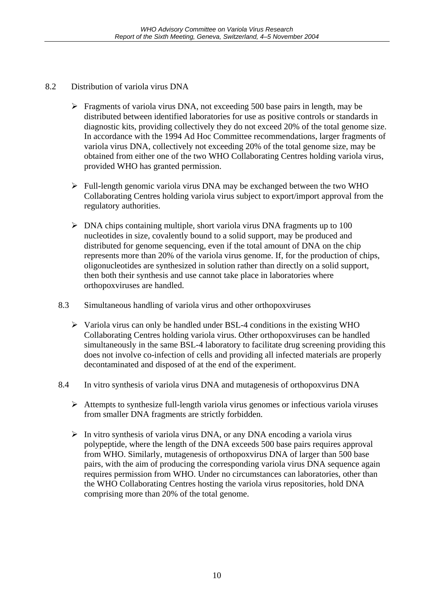- 8.2 Distribution of variola virus DNA
	- $\triangleright$  Fragments of variola virus DNA, not exceeding 500 base pairs in length, may be distributed between identified laboratories for use as positive controls or standards in diagnostic kits, providing collectively they do not exceed 20% of the total genome size. In accordance with the 1994 Ad Hoc Committee recommendations, larger fragments of variola virus DNA, collectively not exceeding 20% of the total genome size, may be obtained from either one of the two WHO Collaborating Centres holding variola virus, provided WHO has granted permission.
	- $\triangleright$  Full-length genomic variola virus DNA may be exchanged between the two WHO Collaborating Centres holding variola virus subject to export/import approval from the regulatory authorities.
	- $\triangleright$  DNA chips containing multiple, short variola virus DNA fragments up to 100 nucleotides in size, covalently bound to a solid support, may be produced and distributed for genome sequencing, even if the total amount of DNA on the chip represents more than 20% of the variola virus genome. If, for the production of chips, oligonucleotides are synthesized in solution rather than directly on a solid support, then both their synthesis and use cannot take place in laboratories where orthopoxviruses are handled.
	- 8.3 Simultaneous handling of variola virus and other orthopoxviruses
		- $\triangleright$  Variola virus can only be handled under BSL-4 conditions in the existing WHO Collaborating Centres holding variola virus. Other orthopoxviruses can be handled simultaneously in the same BSL-4 laboratory to facilitate drug screening providing this does not involve co-infection of cells and providing all infected materials are properly decontaminated and disposed of at the end of the experiment.
	- 8.4 In vitro synthesis of variola virus DNA and mutagenesis of orthopoxvirus DNA
		- $\triangleright$  Attempts to synthesize full-length variola virus genomes or infectious variola viruses from smaller DNA fragments are strictly forbidden.
		- $\triangleright$  In vitro synthesis of variola virus DNA, or any DNA encoding a variola virus polypeptide, where the length of the DNA exceeds 500 base pairs requires approval from WHO. Similarly, mutagenesis of orthopoxvirus DNA of larger than 500 base pairs, with the aim of producing the corresponding variola virus DNA sequence again requires permission from WHO. Under no circumstances can laboratories, other than the WHO Collaborating Centres hosting the variola virus repositories, hold DNA comprising more than 20% of the total genome.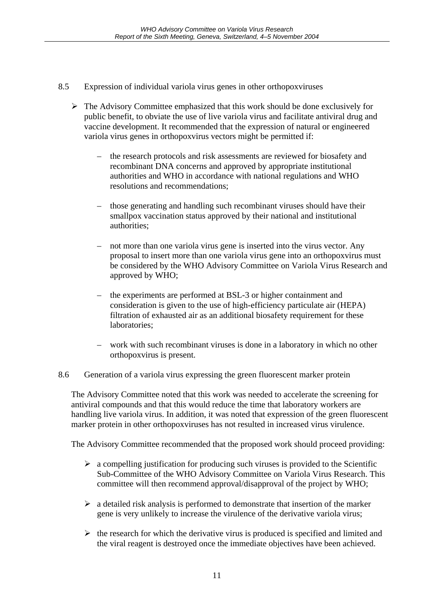- 8.5 Expression of individual variola virus genes in other orthopoxviruses
	- $\triangleright$  The Advisory Committee emphasized that this work should be done exclusively for public benefit, to obviate the use of live variola virus and facilitate antiviral drug and vaccine development. It recommended that the expression of natural or engineered variola virus genes in orthopoxvirus vectors might be permitted if:
		- the research protocols and risk assessments are reviewed for biosafety and recombinant DNA concerns and approved by appropriate institutional authorities and WHO in accordance with national regulations and WHO resolutions and recommendations;
		- those generating and handling such recombinant viruses should have their smallpox vaccination status approved by their national and institutional authorities;
		- not more than one variola virus gene is inserted into the virus vector. Any proposal to insert more than one variola virus gene into an orthopoxvirus must be considered by the WHO Advisory Committee on Variola Virus Research and approved by WHO;
		- the experiments are performed at BSL-3 or higher containment and consideration is given to the use of high-efficiency particulate air (HEPA) filtration of exhausted air as an additional biosafety requirement for these laboratories;
		- work with such recombinant viruses is done in a laboratory in which no other orthopoxvirus is present.

#### 8.6 Generation of a variola virus expressing the green fluorescent marker protein

The Advisory Committee noted that this work was needed to accelerate the screening for antiviral compounds and that this would reduce the time that laboratory workers are handling live variola virus. In addition, it was noted that expression of the green fluorescent marker protein in other orthopoxviruses has not resulted in increased virus virulence.

The Advisory Committee recommended that the proposed work should proceed providing:

- $\triangleright$  a compelling justification for producing such viruses is provided to the Scientific Sub-Committee of the WHO Advisory Committee on Variola Virus Research. This committee will then recommend approval/disapproval of the project by WHO;
- $\triangleright$  a detailed risk analysis is performed to demonstrate that insertion of the marker gene is very unlikely to increase the virulence of the derivative variola virus;
- $\triangleright$  the research for which the derivative virus is produced is specified and limited and the viral reagent is destroyed once the immediate objectives have been achieved.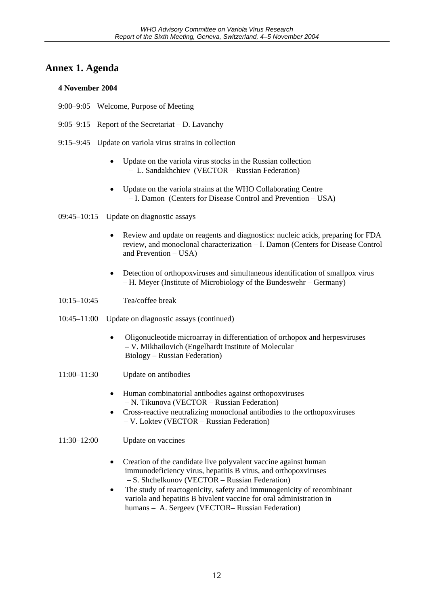#### **Annex 1. Agenda**

#### **4 November 2004**

- 9:00–9:05 Welcome, Purpose of Meeting
- 9:05–9:15 Report of the Secretariat D. Lavanchy
- 9:15–9:45 Update on variola virus strains in collection
	- Update on the variola virus stocks in the Russian collection – L. Sandakhchiev (VECTOR – Russian Federation)
	- Update on the variola strains at the WHO Collaborating Centre – I. Damon (Centers for Disease Control and Prevention – USA)
- $09:45-10:15$  Update on diagnostic assays
	- Review and update on reagents and diagnostics: nucleic acids, preparing for FDA review, and monoclonal characterization – I. Damon (Centers for Disease Control and Prevention – USA)
	- Detection of orthopoxviruses and simultaneous identification of smallpox virus *–* H. Meyer (Institute of Microbiology of the Bundeswehr – Germany)
- 10:15–10:45 Tea/coffee break
- 10:45–11:00 Update on diagnostic assays (continued)
	- Oligonucleotide microarray in differentiation of orthopox and herpesviruses – V. Mikhailovich (Engelhardt Institute of Molecular Biology – Russian Federation)
- 11:00–11:30 Update on antibodies
	- Human combinatorial antibodies against orthopoxviruses – N. Tikunova (VECTOR – Russian Federation)
	- Cross-reactive neutralizing monoclonal antibodies to the orthopoxviruses – V. Loktev (VECTOR – Russian Federation)

#### 11:30–12:00 Update on vaccines

- Creation of the candidate live polyvalent vaccine against human immunodeficiency virus, hepatitis B virus, and orthopoxviruses – S. Shchelkunov (VECTOR – Russian Federation)
- The study of reactogenicity, safety and immunogenicity of recombinant variola and hepatitis B bivalent vaccine for oral administration in humans – A. Sergeev (VECTOR– Russian Federation)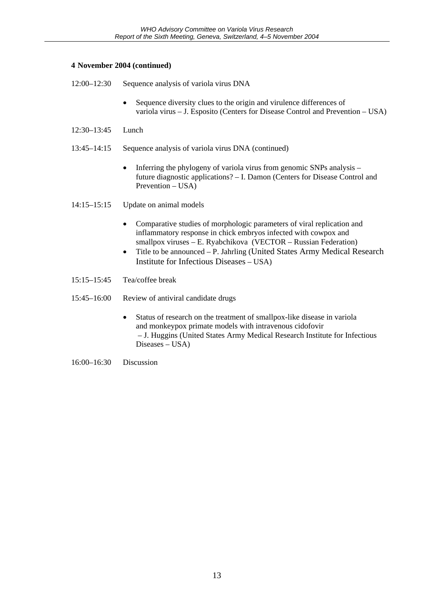#### **4 November 2004 (continued)**

- 12:00–12:30 Sequence analysis of variola virus DNA
	- Sequence diversity clues to the origin and virulence differences of variola virus – J. Esposito (Centers for Disease Control and Prevention – USA)
- 12:30–13:45 Lunch
- 13:45–14:15 Sequence analysis of variola virus DNA (continued)
	- Inferring the phylogeny of variola virus from genomic SNPs analysis future diagnostic applications? – I. Damon (Centers for Disease Control and Prevention – USA)
- 14:15–15:15 Update on animal models
	- Comparative studies of morphologic parameters of viral replication and inflammatory response in chick embryos infected with cowpox and smallpox viruses – E. Ryabchikova (VECTOR – Russian Federation)
	- Title to be announced P. Jahrling (United States Army Medical Research Institute for Infectious Diseases – USA)
- 15:15–15:45 Tea/coffee break
- 15:45–16:00 Review of antiviral candidate drugs
	- Status of research on the treatment of smallpox-like disease in variola and monkeypox primate models with intravenous cidofovir – J. Huggins (United States Army Medical Research Institute for Infectious Diseases – USA)
- 16:00–16:30 Discussion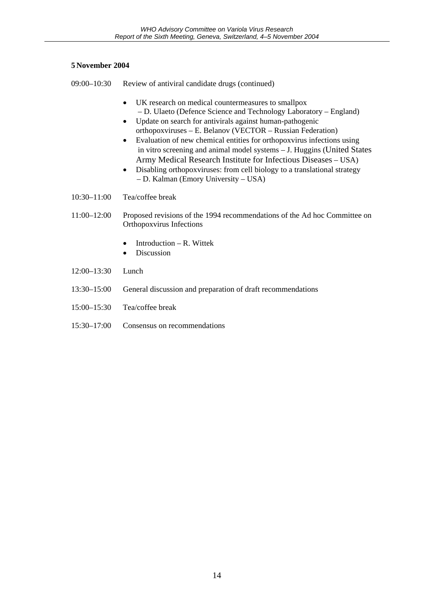#### **5 November 2004**

- 09:00–10:30 Review of antiviral candidate drugs (continued)
	- UK research on medical countermeasures to smallpox *–* D. Ulaeto (Defence Science and Technology Laboratory *–* England)
	- Update on search for antivirals against human-pathogenic orthopoxviruses – E. Belanov (VECTOR – Russian Federation)
	- Evaluation of new chemical entities for orthopoxvirus infections using in vitro screening and animal model systems – J. Huggins (United States Army Medical Research Institute for Infectious Diseases – USA)
	- Disabling orthopoxyiruses: from cell biology to a translational strategy – D. Kalman (Emory University – USA)
- 10:30–11:00 Tea/coffee break
- 11:00–12:00 Proposed revisions of the 1994 recommendations of the Ad hoc Committee on Orthopoxvirus Infections
	- Introduction R. Wittek
	- Discussion
- 12:00–13:30 Lunch
- 13:30–15:00 General discussion and preparation of draft recommendations
- 15:00–15:30 Tea/coffee break
- 15:30–17:00 Consensus on recommendations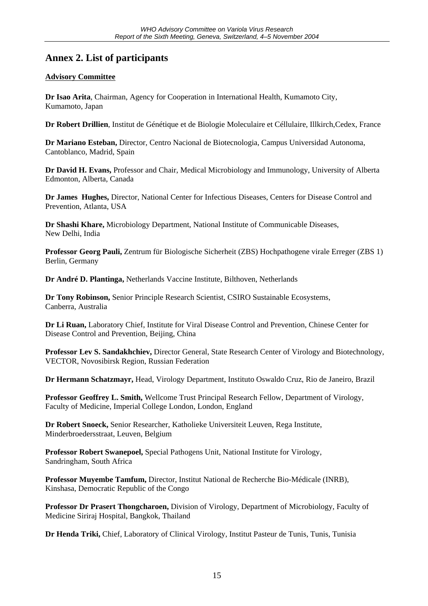### **Annex 2. List of participants**

#### **Advisory Committee**

**Dr Isao Arita**, Chairman, Agency for Cooperation in International Health, Kumamoto City, Kumamoto, Japan

**Dr Robert Drillien**, Institut de Génétique et de Biologie Moleculaire et Céllulaire, Illkirch,Cedex, France

**Dr Mariano Esteban,** Director, Centro Nacional de Biotecnologia, Campus Universidad Autonoma, Cantoblanco, Madrid, Spain

**Dr David H. Evans,** Professor and Chair, Medical Microbiology and Immunology, University of Alberta Edmonton, Alberta, Canada

**Dr James Hughes,** Director, National Center for Infectious Diseases, Centers for Disease Control and Prevention, Atlanta, USA

**Dr Shashi Khare,** Microbiology Department, National Institute of Communicable Diseases, New Delhi, India

**Professor Georg Pauli,** Zentrum für Biologische Sicherheit (ZBS) Hochpathogene virale Erreger (ZBS 1) Berlin, Germany

**Dr André D. Plantinga,** Netherlands Vaccine Institute, Bilthoven, Netherlands

**Dr Tony Robinson,** Senior Principle Research Scientist, CSIRO Sustainable Ecosystems, Canberra, Australia

**Dr Li Ruan,** Laboratory Chief, Institute for Viral Disease Control and Prevention, Chinese Center for Disease Control and Prevention, Beijing, China

**Professor Lev S. Sandakhchiev,** Director General, State Research Center of Virology and Biotechnology, VECTOR, Novosibirsk Region, Russian Federation

**Dr Hermann Schatzmayr,** Head, Virology Department, Instituto Oswaldo Cruz, Rio de Janeiro, Brazil

**Professor Geoffrey L. Smith,** Wellcome Trust Principal Research Fellow, Department of Virology, Faculty of Medicine, Imperial College London, London, England

**Dr Robert Snoeck,** Senior Researcher, Katholieke Universiteit Leuven, Rega Institute, Minderbroedersstraat, Leuven, Belgium

**Professor Robert Swanepoel,** Special Pathogens Unit, National Institute for Virology, Sandringham, South Africa

**Professor Muyembe Tamfum,** Director, Institut National de Recherche Bio-Médicale (INRB), Kinshasa, Democratic Republic of the Congo

**Professor Dr Prasert Thongcharoen,** Division of Virology, Department of Microbiology, Faculty of Medicine Siriraj Hospital, Bangkok, Thailand

**Dr Henda Triki,** Chief, Laboratory of Clinical Virology, Institut Pasteur de Tunis, Tunis, Tunisia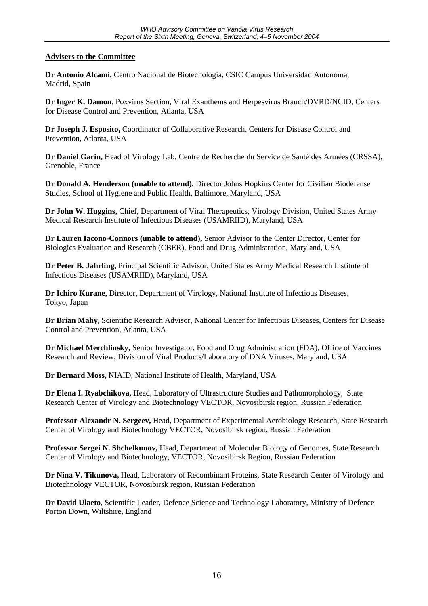#### **Advisers to the Committee**

**Dr Antonio Alcami,** Centro Nacional de Biotecnologia, CSIC Campus Universidad Autonoma, Madrid, Spain

**Dr Inger K. Damon**, Poxvirus Section, Viral Exanthems and Herpesvirus Branch/DVRD/NCID, Centers for Disease Control and Prevention, Atlanta, USA

**Dr Joseph J. Esposito,** Coordinator of Collaborative Research, Centers for Disease Control and Prevention, Atlanta, USA

**Dr Daniel Garin,** Head of Virology Lab, Centre de Recherche du Service de Santé des Armées (CRSSA), Grenoble, France

**Dr Donald A. Henderson (unable to attend),** Director Johns Hopkins Center for Civilian Biodefense Studies, School of Hygiene and Public Health, Baltimore, Maryland, USA

**Dr John W. Huggins,** Chief, Department of Viral Therapeutics, Virology Division, United States Army Medical Research Institute of Infectious Diseases (USAMRIID), Maryland, USA

**Dr Lauren Iacono-Connors (unable to attend),** Senior Advisor to the Center Director, Center for Biologics Evaluation and Research (CBER), Food and Drug Administration, Maryland, USA

**Dr Peter B. Jahrling,** Principal Scientific Advisor, United States Army Medical Research Institute of Infectious Diseases (USAMRIID), Maryland, USA

**Dr Ichiro Kurane,** Director**,** Department of Virology, National Institute of Infectious Diseases, Tokyo, Japan

**Dr Brian Mahy,** Scientific Research Advisor, National Center for Infectious Diseases, Centers for Disease Control and Prevention, Atlanta, USA

**Dr Michael Merchlinsky,** Senior Investigator, Food and Drug Administration (FDA), Office of Vaccines Research and Review, Division of Viral Products/Laboratory of DNA Viruses, Maryland, USA

**Dr Bernard Moss,** NIAID, National Institute of Health, Maryland, USA

**Dr Elena I. Ryabchikova,** Head, Laboratory of Ultrastructure Studies and Pathomorphology, State Research Center of Virology and Biotechnology VECTOR, Novosibirsk region, Russian Federation

**Professor Alexandr N. Sergeev,** Head, Department of Experimental Aerobiology Research, State Research Center of Virology and Biotechnology VECTOR, Novosibirsk region, Russian Federation

**Professor Sergei N. Shchelkunov,** Head, Department of Molecular Biology of Genomes, State Research Center of Virology and Biotechnology, VECTOR, Novosibirsk Region, Russian Federation

**Dr Nina V. Tikunova,** Head, Laboratory of Recombinant Proteins, State Research Center of Virology and Biotechnology VECTOR, Novosibirsk region, Russian Federation

**Dr David Ulaeto**, Scientific Leader, Defence Science and Technology Laboratory, Ministry of Defence Porton Down, Wiltshire, England